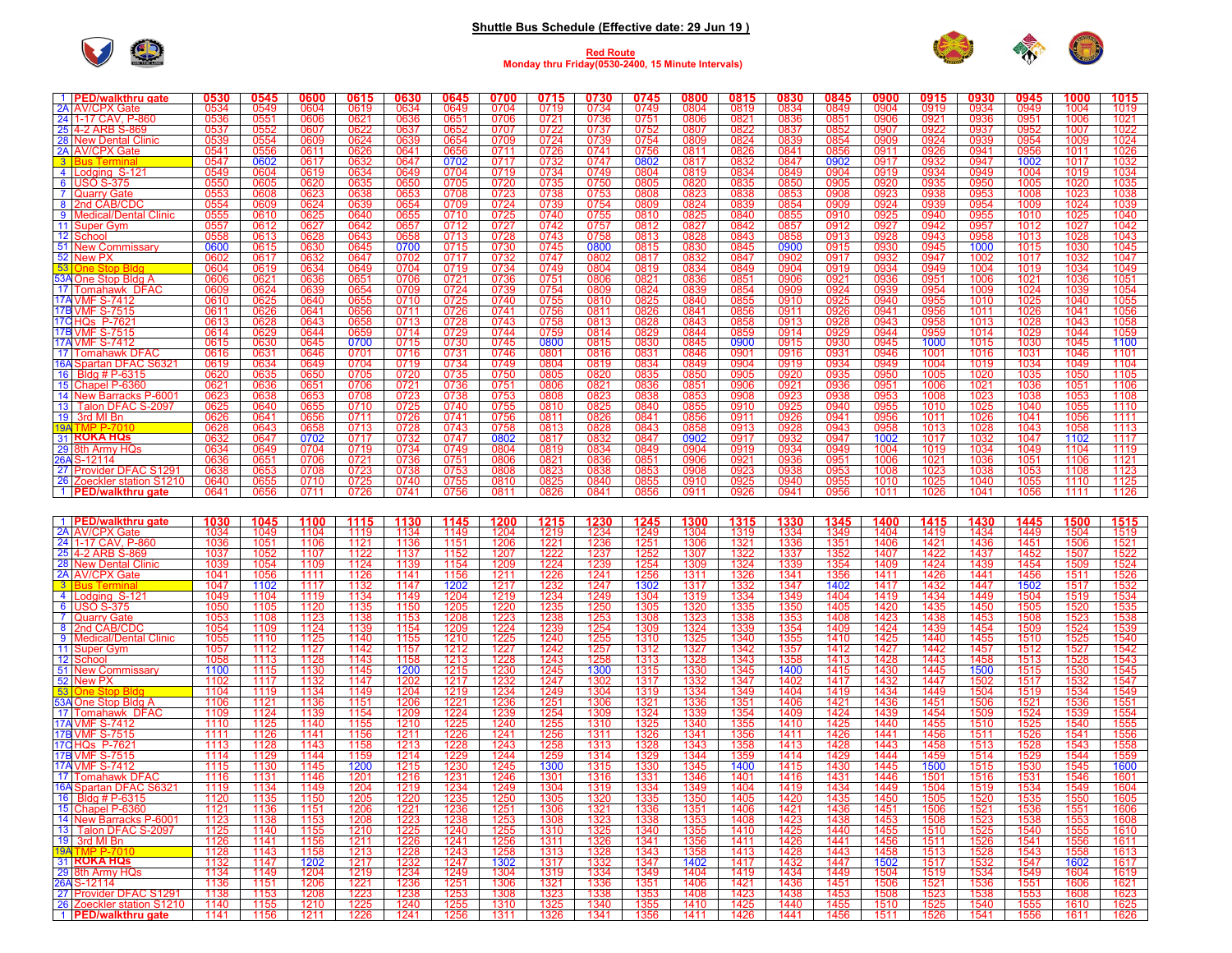## **Shuttle Bus Schedule (Effective date: 29 Jun 19 )**



## **Red Route Monday thru Friday(0530-2400, 15 Minute Intervals)**



| 1 PED/walkthru gate       | 0530 | 0545 | 0600           | 0615           | 0630           | 0645            | 0700 | 0715 | 0730 | 0745 | 0800             | 0815 | 0830          | 0845       | 0900            | 0915 | 0930            | 0945            | 1000 | 1015 |
|---------------------------|------|------|----------------|----------------|----------------|-----------------|------|------|------|------|------------------|------|---------------|------------|-----------------|------|-----------------|-----------------|------|------|
| 2A AV/CPX Gate            | 0534 | 0549 | 0604           | 0619           | 0634           | 0649            | 0704 | 0719 | 0734 | 0749 | 0804             | 0819 | 0834          | 0849       | 0904            | 0919 | 0934            | 0949            | 1004 | 1019 |
| 24 1-17 CAV, P-860        | 0536 | 0551 | 0606           | 0621           | 0636           | 0651            | 0706 | 0721 | 0736 | 0751 | 0806             | 0821 | 0836          | 0851       | 0906            | 0921 | 0936            | 0951            | 1006 | 1021 |
| 25 4-2 ARB S-869          | 0537 | 0552 | 0607           | 0622           | 0637           | 0652            | 0707 | 0722 | 0737 | 0752 | 0807             | 0822 | 0837          | 0852       | 0907            | 0922 | 0937            | 0952            | 1007 | 1022 |
| 28 New Dental Clinic      | 0539 | 0554 | 0609           | 0624           | 0639           | 0654            | 0709 | 0724 | 0739 | 0754 | 0809             | 0824 | 0839          | 0854       | 0909            | 0924 | 0939            | 0954            | 1009 | 1024 |
| 2A AV/CPX Gate            | 0541 | 0556 | 0611           | 0626           | 0641           | 0656            | 0711 | 0726 | 0741 | 0756 | 0811             | 0826 | $084^{\circ}$ | 0856       | 0911            | 0926 | 0941            | 0956            | 1011 | 1026 |
| 3 Bus Termina             | 0547 | 0602 | 0617           | 0632           | 0647           | 0702            | 0717 | 0732 | 0747 | 0802 | 0817             | 0832 | 0847          | 0902       | 0917            | 0932 | 0947            | 1002            | 1017 | 1032 |
| 4 Lodaina S-121           | 0549 | 0604 | 0619           | 0634           | 0649           | 0704            | 0719 | 0734 | 0749 | 0804 | 0819             | 0834 | 0849          | 0904       | 0919            | 0934 | 0949            | 1004            | 1019 | 1034 |
| 6 USO S-375               | 0550 | 0605 | 0620           | 0635           | 0650           | 0705            | 0720 | 0735 | 0750 | 0805 | 0820             | 0835 | 0850          | 0905       | 0920            | 0935 | 0950            | 1005            | 1020 | 1035 |
| 7 Quarry Gate             | 0553 | 0608 | 0623           | 0638           | 0653           | 0708            | 0723 | 0738 | 0753 | 0808 | 0823             | 0838 | 0853          | 0908       | 0923            | 0938 | 0953            | 1008            | 1023 | 1038 |
| 8 2nd CAB/CDC             | 0554 | 0609 | 0624           | 0639           | 0654           | 0709            | 0724 | 0739 | 0754 | 0809 | 0824             | 0839 | 0854          | 0909       | 0924            | 0939 | 0954            | 1009            | 1024 | 1039 |
| 9   Medical/Dental Clinic | 0555 | 0610 | 0625           | 0640           | 0655           | 0710            | 0725 | 0740 | 0755 | 0810 | 0825             | 0840 | 0855          | 0910       | 0925            | 0940 | 0955            | 1010            | 1025 | 1040 |
| 11 Super Gym              | 0557 | 0612 | 0627           | 0642           | 0657           | 0712            | 0727 | 0742 | 0757 | 0812 | 0827             | 0842 | 0857          | 0912       | 0927            | 0942 | 0957            | 1012            | 1027 | 1042 |
| 12 Schoo                  | 0558 | 0613 | 0628           | 0643           | 0658           | 0713            | 0728 | 0743 | 0758 | 0813 | 0828             | 0843 | 0858          | 0913       | 0928            | 0943 | 0958            | 1013            | 1028 | 1043 |
| 51 New Commissary         | 0600 | 0615 | 0630           | 0645           | 0700           | 0715            | 0730 | 0745 | 0800 | 0815 | 0830             | 0845 | 0900          | 0915       | 0930            | 0945 | 1000            | 1015            | 1030 | 1045 |
| 52 New PX                 | 0602 | 0617 | 0632           | 0647           | 0702           | 0717            | 0732 | 0747 | 0802 | 0817 | 0832             | 0847 | 0902          | 0917       | 0932            | 0947 | 1002            | 1017            | 1032 | 1047 |
| 53 One Stop Bldg          | 0604 | 0619 | 0634           | 0649           | 0704           | 0719            | 0734 | 0749 | 0804 | 0819 | 0834             | 0849 | 0904          | 0919       | 0934            | 0949 | 1004            | 1019            | 1034 | 1049 |
| 53A One Stop Bldg A       | 0606 | 0621 | 0636           | 0651           | 0706           | 0721            | 0736 | 0751 | 0806 | 0821 | 0836             | 0851 | 0906          | 0921       | 0936            | 0951 | 1006            | 1021            | 1036 | 1051 |
| 17 Tomahawk DFAC          | 0609 | 0624 | 0639           | 0654           | 0709           | 0724            | 0739 | 0754 | 0809 | 0824 | 0839             | 0854 | 0909          | 0924       | 0939            | 0954 | 1009            | 1024            | 1039 | 1054 |
| <b>17A VMF S-7412</b>     | 0610 | 0625 | 0640           | 0655           | 0710           | 0725            | 0740 | 0755 | 0810 | 0825 | 0840             | 0855 | 0910          | 0925       | 0940            | 0955 | 1010            | 1025            | 1040 | 1055 |
| 17B VMF S-7515            | 0611 | 0626 | 0641           | 0656           | 0711           | 0726            | 0741 | 0756 | 0811 | 0826 | 084 <sup>′</sup> | 0856 | 0911          | 0926       | 0941            | 0956 | 1011            | 1026            | 1041 | 1056 |
| 17CHQs P-762              | 0613 | 0628 | 0643           | 0658           | 0713           | 0728            | 0743 | 0758 | 0813 | 0828 | 0843             | 0858 | 0913          | 0928       | 0943            | 0958 | 1013            | 1028            | 1043 | 1058 |
| 17B VMF S-7515            | 0614 | 0629 | 0644           | 0659           | 0714           | 0729            | 0744 | 0759 | 0814 | 0829 | 0844             | 0859 | 0914          | 0929       | 0944            | 0959 | 1014            | 1029            | 1044 | 1059 |
| <b>17A VMF S-7412</b>     | 0615 | 0630 | 0645           | 0700           | 0715           | 0730            | 0745 | 0800 | 0815 | 0830 | 0845             | 0900 | 0915          | 0930       | 0945            | 1000 | 1015            | 1030            | 1045 | 1100 |
| 17 Tomahawk DFAC          | 0616 | 0631 | 0646           | 0701           | 0716           | 0731            | 0746 | 0801 | 0816 | 0831 | 0846             | 0901 | 0916          | 0931       | 0946            | 1001 | 1016            | 1031            | 1046 | 1101 |
| 16A Spartan DFAC S6321    | 0619 | 0634 | 0649           | 0704           | 0719           | 0734            | 0749 | 0804 | 0819 | 0834 | 0849             | 0904 | 0919          | 0934       | 0949            | 1004 | 1019            | 1034            | 1049 | 1104 |
| 16 Bldg # P-6315          | 0620 | 0635 | 0650           | 0705           | 0720           | 0735            | 0750 | 0805 | 0820 | 0835 | 0850             | 0905 | 0920          | 0935       | 0950            | 1005 | 1020            | 1035            | 1050 | 1105 |
| 15 Chapel P-6360          | 0621 | 0636 | 0651           | 0706           | 0721           | 0736            | 0751 | 0806 | 0821 | 0836 | 085'             | 0906 | 0921          | 0936       | 0951            | 1006 | 1021            | 1036            | 1051 | 1106 |
| 14 New Barracks P-6001    | 0623 | 0638 | 0653           | 0708           | 0723           | 0738            | 0753 | 0808 | 0823 | 0838 | 0853             | 0908 | 0923          | 0938       | 0953            | 1008 | 1023            | 1038            | 1053 | 1108 |
| 13 Talon DFAC S-2097      | 0625 | 0640 | 0655           | 0710           | 0725           | 0740            | 0755 | 0810 | 0825 | 0840 | 0855             | 0910 | 0925          | 0940       | 0955            | 1010 | 1025            | 1040            | 1055 | 1110 |
| 19 3rd MI Bn              | 0626 | 0641 | 0656           | 0711           | 0726           | 0741            | 0756 | 0811 | 0826 | 0841 | 0856             | 0911 | 0926          | 0941       | 0956            | 1011 | 1026            | 1041            | 1056 | 1111 |
| <b>19A TM</b>             | 0628 | 0643 | 0658           | 0713           | 0728           | 0743            | 0758 | 0813 | 0828 | 0843 | 0858             | 0913 | 0928          | 0943       | 0958            | 1013 | 1028            | 1043            | 1058 | 1113 |
| 31 <b>ROKA HQS</b>        | 0632 | 0647 | 0702           | 0717           | 0732           | 0747            | 0802 | 0817 | 0832 | 0847 | 0902             | 0917 | 0932          | 0947       | 1002            | 1017 | 1032            | 1047            | 1102 | 1117 |
| 29 8th Army HQs           | 0634 | 0649 | 0704           | 0719           | 0734           | 0749            | 0804 | 0819 | 0834 | 0849 | 0904             | 0919 | 0934          | 0949       | 1004            | 1019 | 1034            | 1049            | 1104 | 1119 |
| 26A S-12114               | 0636 | 0651 | 0706           | 0721           | 0736           | 0751            | 0806 | 0821 | 0836 | 0851 | 0906             | 0921 | 0936          | 0951       | 1006            | 1021 | 1036            | 1051            | 1106 | 1121 |
| 27 Provider DFAC S1291    | 0638 | 0653 | 0708           | 0723           | 0738           | 0753            | 0808 | 0823 | 0838 | 0853 | 0908             | 0923 | 0938          | 0953       | 1008            | 1023 | 1038            | 1053            | 1108 | 1123 |
| 26 Zoeckler station S1210 | 0640 | 0655 | 0710           | 0725           | 0740           | 0755            | 0810 | 0825 | 0840 | 0855 | 0910             | 0925 | 0940          | 0955       | 1010            | 1025 | 1040            | 1055            | 1110 | 1125 |
| 1   PED/walkthru gate     | 0641 | 0656 | 0711           | 0726           | 0741           | 0756            | 0811 | 0826 | 0841 | 0856 | 091'             | 0926 | 0941          | 0956       | 1011            | 1026 | 1041            | 1056            | 1111 | 1126 |
|                           |      |      |                |                |                |                 |      |      |      |      |                  |      |               |            |                 |      |                 |                 |      |      |
| 1 PED/walkthru gate       | 1030 | 1045 | 1100           | 1115           | 1130           | 1145            | 1200 | 1215 | 1230 | 1245 | 1300             | 1315 | 1330          | 1345       | 1400            | 1415 | 1430            | 1445            | 1500 | 1515 |
| <b>2A AV/CPX Gate</b>     | 1034 | 1049 | 1104           | 1119           | 1134           | 1149            | 1204 | 1219 | 1234 | 1249 | 1304             | 1319 | 1334          | 1349       | 1404            | 1419 | 1434            | 1449            | 1504 | 1519 |
|                           | 1000 | 1071 | $\overline{A}$ | $\overline{A}$ | $\overline{A}$ | $A$ $A$ $T$ $A$ |      |      |      |      |                  |      |               | $A \cap F$ | $\overline{AB}$ |      | $\overline{AB}$ | $A$ $A$ $T$ $A$ |      | ATMA |

|                 | 2A AV/CPX Gate                 | 1034         | 1049         | 1104         | 1119         | 1134         | 1149          | 1204         | 1219         | 234          | 1249         | 1304         | 1319         | 334          | 1349             | 1404         | 1419         | 1434         | 1449         | 1504         | 1519         |
|-----------------|--------------------------------|--------------|--------------|--------------|--------------|--------------|---------------|--------------|--------------|--------------|--------------|--------------|--------------|--------------|------------------|--------------|--------------|--------------|--------------|--------------|--------------|
|                 | 24 1-17 CAV, P-860             | 1036         | 1051         | 1106         | 1121         | 1136         | 1151          | 1206         | 1221         | 1236         | 1251         | 1306         | 1321         | 1336         | 1351             | 1406         | 1421         | 1436         | 1451         | 1506         | 1521         |
|                 | 25 4-2 ARB S-869               | 1037         | 1052         | 1107         | 1122         | 1137         | 1152          | 1207         | 1222         | 1237         | 1252         | 1307         | 1322         | 1337         | 1352             | 1407         | 1422         | 1437         | 1452         | 1507         | 1522         |
|                 | 28 New Dental Clinic           | 1039         | 1054         | 1109         | 1124         | 1139         | 1154          | 1209         | 1224         | 1239         | 1254         | 1309         | 1324         | 1339         | 1354             | 1409         | 1424         | 1439         | 1454         | 1509         | 1524         |
|                 | 2A AV/CPX Gate                 | 1041         | 1056         | 1111         | 1126         | 1141         | 1156          | 1211         | 1226         | 1241         | 1256         | 1311         | 1326         | 1341         | 1356             | 1411         | 1426         | 1441         | 1456         | 1511         | 1526         |
| 3               |                                | 1047         | 1102         | 1117         | 1132         | 1147         | 1202          | 1217         | 1232         | 1247         | 1302         | 1317         | 1332         | 1347         | 1402             | 1417         | 1432         | 1447         | 1502         | 1517         | 1532         |
| 4               | Lodaina S-121                  | 1049         | 1104         | 1119         | 1134         | 1149         | 1204          | 1219         | 1234         | 1249         | 1304         | 1319         | 1334         | 1349         | 1404             | 1419         | 1434         | 1449         | 1504         | 1519         | 1534         |
| 6               | <b>USO S-375</b>               | 1050         | 1105         | 1120         | 1135         | 1150         | 1205          | 1220         | 1235         | 1250         | 1305         | 1320         | 1335         | 1350         | 1405             | 1420         | 1435         | 1450         | 1505         | 1520         | 1535         |
|                 | 7 Quarry Gate                  | 1053         | 1108         | 1123         | 1138         | 1153         | 1208          | 1223         | 1238         | 1253         | 1308         | 1323         | 1338         | 1353         | 1408             | 1423         | 1438         | 1453         | 1508         | 1523         | 1538         |
|                 | 8 2nd CAB/CDC                  | 1054         | 1109         | 1124         | 1139         | 1154         | 1209          | 1224         | 1239         | 1254         | 1309         | 1324         | 1339         | 1354         | 1409             | 1424         | 1439         | 1454         | 1509         | 1524         | 1539         |
|                 | 9   Medical/Dental Clinic      | 1055         | 1110         | 1125         | 1140         | 1155         | 1210          | 1225         | 1240         | 1255         | 1310         | 1325         | 1340         | 1355         | 1410             | 1425         | 1440         | 1455         | 1510         | 1525         | 1540         |
|                 | 11 Super Gym                   | 1057         | 1112         | 1127         | 1142         | 1157         | 1212          | 1227         | 1242         | 1257         | 1312         | 1327         | 1342         | 1357         | 1412             | 1427         | 1442         | 1457         | 1512         | 1527         | 1542         |
|                 | 12 Schoo                       | 1058         | 1113         | 1128         | 1143         | 1158         | 1213          | 1228         | 1243         | 1258         | 1313         | 1328         | 1343         | 1358         | 1413             | 1428         | 1443         | 1458         | 1513         | 1528         | 1543         |
|                 | 51 New Commissary              | 1100         | 1115         | 1130         | 1145         | 1200         | 1215          | 1230         | 1245         | 1300         | 1315         | 1330         | 1345         | 1400         | 1415             | 1430         | 1445         | 1500         | 1515         | 1530         | 1545         |
|                 | 52 New PX                      | 1102         | 1117         | 1132         | 1147         | 1202         | 1217          | 1232         | 1247         | 1302         | 1317         | 1332         | 1347         | 1402         | 1417             | 1432         | 1447         | 1502         | 1517         | 1532         | 1547         |
| 53              |                                | 1104         | 1119         | 1134         | 1149         | 1204         | 1219          | 1234         | 1249         | 1304         | 1319         | 1334         | 1349         | 1404         | 1419             | 1434         | 1449         | 1504         | 1519         | 1534         | 1549         |
|                 | 53A One Stop Bldg A            | 1106         | 1121         | 1136         | 1151         | 1206         | $122^{\circ}$ | 1236         | 1251         | 1306         | 1321         | 1336         | 1351         | 1406         | 142 <sup>2</sup> | 1436         | 1451         | 1506         | 1521         | 1536         | 1551         |
|                 | 17 Tomahawk DFAC               | 1109         | 1124         | 1139         | 1154         | 1209         | 1224          | 1239         | 1254         | 1309         | 1324         | 1339         | 1354         | 1409         | 1424             | 1439         | 1454         | 1509         | 1524         | 1539         | 1554         |
|                 | <b>17A VMF S-7412</b>          | 1110         | 1125         | 1140         | 1155         | 1210         | 1225          | 1240         | 1255         | 1310         | 1325         | 1340         | 1355         | 1410         | 1425             | 1440         | 1455         | 1510         | 1525         | 1540         | 1555         |
|                 | 17B VMF S-7515                 | 1111         | 1126         | 1141         | 1156         | 1211         | 1226          | 1241         | 1256         | 1311         | 1326         | 1341         | 1356         | 1411         | 1426             | 1441         | 1456         | 1511         | 1526         | 1541         | 1556         |
|                 | 17CHQs P-7621                  | 1113         | 1128         | 1143         | 1158         | 1213         | 1228          | 1243         | 1258         | 1313         | 1328         | 1343         | 1358         | 1413         | 1428             | 1443         | 1458         | 1513         | 1528         | 1543         | 1558         |
|                 | 17B VMF S-7515                 | 1114         | 1129         | 1144         | 1159         | 1214         | 1229          | 1244         | 1259         | 1314         | 1329         | 1344         | 1359         | 1414         | 1429             | 1444         | 1459         | 1514         | 1529         | 1544         | 1559         |
|                 | 17A VMF S-7412                 | 1115         | 1130         | 1145         | 1200         | 1215         | 1230          | 1245         | 1300         | 1315         | 1330         | 1345         | 1400         | 1415         | 1430             | 1445         | 1500         | 1515         | 1530         | 1545         | 1600         |
|                 | 17 Tomahawk DFAC               | 1116         | 1131         | 1146         | 1201         | 1216         | 1231          | 1246         | 1301         | 1316         | 1331         | 1346         | 1401         | 1416         | 1431             | 1446         | 1501         | 1516         | 1531         | 1546         | 1601         |
|                 | 16A Spartan DFAC S6321         | 1119         | 1134         | 1149         | 1204         | 1219         | 1234          | 1249         | 1304         | 1319         | 1334         | 1349         | 1404         | 1419         | 1434             | 1449         | 1504         | 1519         | 1534         | 1549         | 1604         |
|                 | 16 Bldg # P-6315               | 1120         | 1135         | 1150         | 1205         | 1220         | 1235          | 1250         | 1305         | 1320         | 1335         | 1350         | 1405         | 1420         | 1435             | 1450         | 1505         | 1520         | 1535         | 1550         | 1605         |
|                 | 15 Chapel P-6360               | 1121         | 1136         | 1151         | 1206         | 1221         | 1236          | 1251         | 1306         | 1321         | 1336         | 1351         | 1406         | 1421         | 1436             | 1451         | 1506         | 1521         | 1536         | 1551         | 1606         |
|                 | 14 New Barracks P-6001         | 1123         | 1138         | 1153         | 1208         | 1223         | 1238          | 1253         | 1308         | 1323         | 1338         | 1353         | 1408         | 1423         | 1438             | 1453         | 1508         | 1523         | 1538         | 1553         | 1608         |
| 13 <sup>1</sup> | Talon DFAC S-2097              | 1125         | 1140         | 1155         | 1210         | 1225         | 1240          | 1255         | 1310         | 1325         | 1340         | 1355         | 1410         | 1425         | 1440             | 1455         | 1510         | 1525         | 1540         | 1555         | 1610         |
|                 | 19 3rd MI Bn                   | 1126         | 1141         | 1156         | 1211         | 1226         | 1241          | 1256         | 1311         | 1326         | 1341         | 1356         | 1411         | 1426         | 1441             | 1456         | 1511         | 1526         | 1541         | 1556         | 1611         |
|                 | 31 ROKA HQS                    | 1128         | 1143         | 1158         | 1213         | 1228         | 1243          | 1258         | 1313         | 1328         | 1343         | 1358         | 1413         | 1428         | 1443             | 1458         | 1513         | 1528         | 1543         | 1558         | 1613         |
|                 |                                | 1132<br>1134 | 1147<br>1149 | 1202<br>1204 | 1217<br>1219 | 1232<br>1234 | 1247<br>1249  | 1302<br>1304 | 1317<br>1319 | 1332<br>1334 | 1347<br>1349 | 1402<br>1404 | 1417<br>1419 | 1432<br>1434 | 1447<br>1449     | 1502<br>1504 | 1517<br>1519 | 1532         | 1547<br>1549 | 1602<br>1604 | 1617         |
|                 | 29 8th Army HQs<br>26A S-12114 |              |              |              |              |              |               |              |              |              |              |              |              |              |                  |              |              | 1534         |              |              | 1619         |
|                 | 27 Provider DFAC S1291         | 1136         | 1151         | 1206         | 1221<br>1223 | 1236<br>1238 | 1251          | 1306         | 1321<br>1323 | 1336         | 1351         | 1406<br>1408 | 1421<br>1423 | 1436         | 1451             | 1506         | 1521<br>1523 | 1536         | 1551         | 1606<br>1608 | 1621         |
|                 | 26 Zoeckler station S1210      | 1138<br>1140 | 1153         | 1208<br>1210 | 1225         | 1240         | 1253<br>1255  | 1308<br>1310 | 1325         | 1338         | 1353         | 1410         | 1425         | 1438<br>1440 | 1453             | 1508<br>1510 | 1525         | 1538         | 1553         | 1610         | 1623<br>1625 |
|                 |                                | 1141         | 1155<br>1156 | 1211         | 1226         | 1241         |               | 1311         | 1326         | 1340<br>1341 | 1355<br>1356 | 1411         | 1426         | 1441         | 1455<br>1456     | 151'         | 1526         | 1540<br>1541 | 1555<br>1556 | 1611         | 1626         |
|                 | 1 PED/walkthru gate            |              |              |              |              |              | 1256          |              |              |              |              |              |              |              |                  |              |              |              |              |              |              |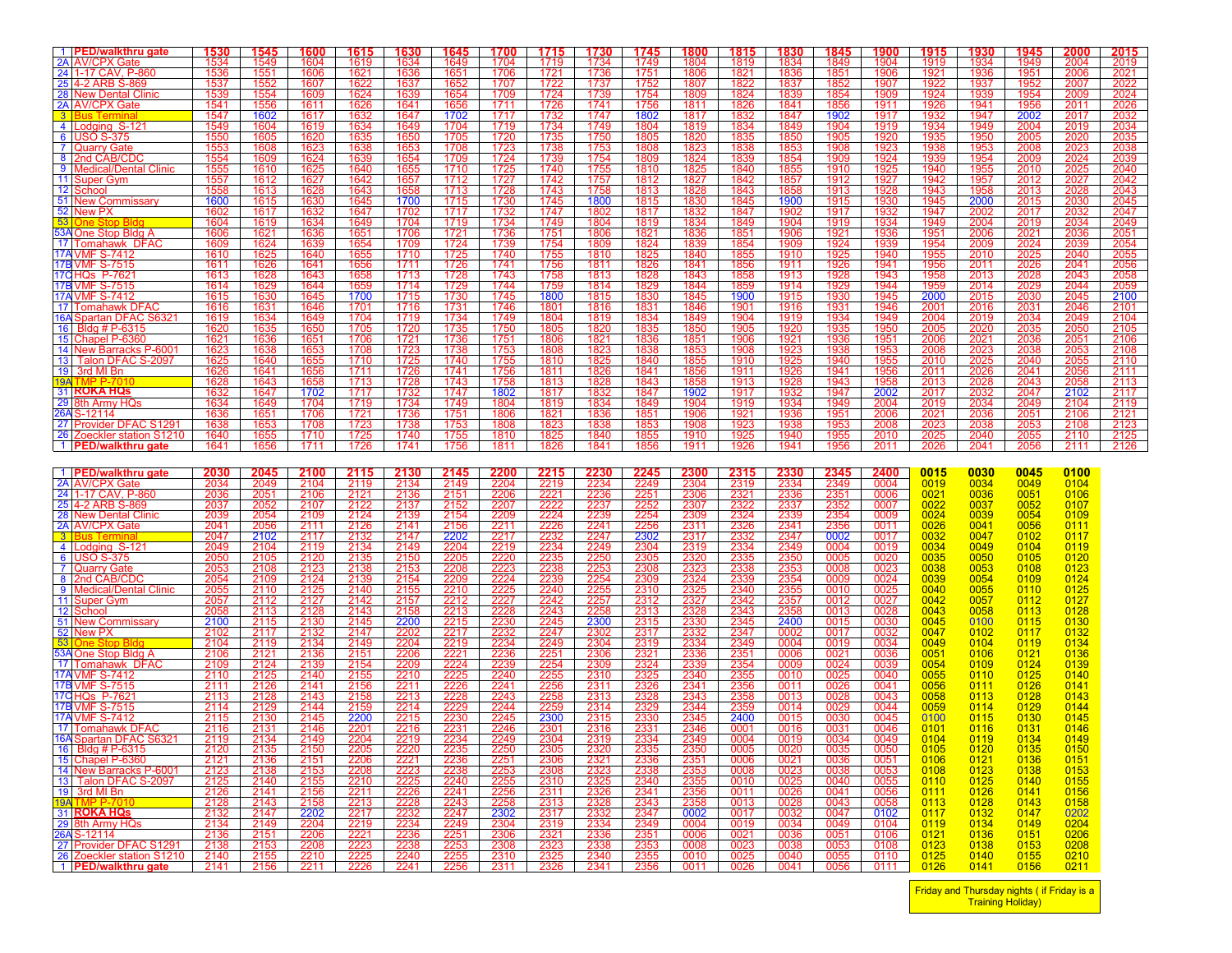| 1 PED/walkthru gate<br>2A AV/CPX Gate               | <u>1530</u><br>1534 | 1545<br>1549 | <u> 1600</u><br>1604 | 1615<br>1619         | <u>1630</u><br>1634  | 1645<br>1649        | 1700<br>1704 | 1715<br>1719                                                              | 1730<br>1734         | 1745<br>1749 | 1800<br>1804 | 1815<br>1819 | 1830<br>1834 | <u>1845</u><br>1849 | 1900<br>1904 | 1915<br>1919 | 1930<br>1934 | <u> 1945</u><br>1949 | 2000<br>2004         | 2015<br>2019         |
|-----------------------------------------------------|---------------------|--------------|----------------------|----------------------|----------------------|---------------------|--------------|---------------------------------------------------------------------------|----------------------|--------------|--------------|--------------|--------------|---------------------|--------------|--------------|--------------|----------------------|----------------------|----------------------|
| 24 1-17 CAV, P-860                                  | 1536                | 1551         | 1606                 | 1621                 | 1636                 | 1651                | 1706         | 1721                                                                      | 1736                 | 1751         | 1806         | 1821         | 1836         | 1851                | 1906         | 1921         | 1936         | 1951                 | 2006                 | 2021                 |
| 25 4-2 ARB S-869                                    | 1537                | 1552         | 1607                 | 1622                 | 1637                 | 1652                | 1707         | 1722                                                                      | 1737                 | 1752         | 1807         | 1822         | 1837         | 1852                | 1907         | 1922         | 1937         | 1952                 | 2007                 | 2022                 |
| 28 New Dental Clinic<br>2A AV/CPX Gate              | 1539<br>1541        | 1554<br>1556 | 1609<br>1611         | 1624<br>1626         | 1639<br>1641         | 1654<br>1656        | 1709<br>1711 | 1724<br>1726                                                              | 1739<br>1741         | 1754<br>1756 | 1809<br>1811 | 1824<br>1826 | 1839<br>1841 | 1854<br>1856        | 1909<br>1911 | 1924<br>1926 | 1939<br>1941 | 1954<br>1956         | 2009<br>2011         | 2024<br>2026         |
| $3$   <br>3us Termina                               | 1547                | 1602         | 1617                 | 1632                 | 1647                 | 1702                | 1717         | 1732                                                                      | 1747                 | 1802         | 1817         | 1832         | 1847         | 1902                | 1917         | 1932         | 1947         | 2002                 | 2017                 | 2032                 |
| 4 Lodging S-121<br>6 USO S-375                      | 1549<br>1550        | 1604<br>1605 | 1619<br>1620         | 1634<br>1635         | 1649<br>1650         | 1704<br>1705        | 1719<br>1720 | 1734<br>1735                                                              | 1749<br>1750         | 1804<br>1805 | 1819<br>1820 | 1834<br>1835 | 1849<br>1850 | 1904<br>1905        | 1919<br>1920 | 1934<br>1935 | 1949<br>1950 | 2004<br>2005         | 2019<br>2020         | 2034<br>2035         |
| 7 Quarry Gate                                       | 1553                | 1608         | 1623                 | 1638                 | 1653                 | 1708                | 1723         | 1738                                                                      | 1753                 | 1808         | 1823         | 1838         | 1853         | 1908                | 1923         | 1938         | 1953         | 2008                 | 2023                 | 2038                 |
| 8 2nd CAB/CDC                                       | 1554                | 1609         | 1624                 | 1639                 | 1654                 | 1709                | 1724         | 1739                                                                      | 1754                 | 1809         | 1824         | 1839         | 1854         | 1909                | 1924         | 1939         | 1954         | 2009                 | 2024                 | 2039                 |
| 9 Medical/Dental Clinic<br>11 Super Gym             | 1555<br>1557        | 1610<br>1612 | 1625<br>1627         | 1640<br>1642         | 1655<br>1657         | 1710<br>1712        | 1725<br>1727 | 1740<br>1742                                                              | 1755<br>1757         | 1810<br>1812 | 1825<br>1827 | 1840<br>1842 | 1855<br>1857 | 1910<br>1912        | 1925<br>1927 | 1940<br>1942 | 1955<br>1957 | 2010<br>2012         | 2025<br>2027         | 2040<br>2042         |
| 12 School                                           | 1558                | 1613         | 1628                 | 1643                 | 1658                 | 1713                | 1728         | 1743                                                                      | 1758                 | 1813         | 1828         | 1843         | 1858         | 1913                | 1928         | 1943         | 1958         | 2013                 | 2028                 | 2043                 |
| 51 New Commissary<br>52 New PX                      | 1600                | 1615         | 1630                 | 1645                 | 1700                 | 1715                | 1730         | 1745                                                                      | 1800                 | 1815         | 1830         | 1845         | 1900         | 1915                | 1930         | 1945         | 2000         | 2015                 | 2030                 | 2045                 |
| 53<br>One Stop Bldc                                 | 1602<br>1604        | 1617<br>1619 | 1632<br>1634         | 1647<br>1649         | 1702<br>1704         | 1717<br>1719        | 1732<br>1734 | 1747<br>1749                                                              | 1802<br>1804         | 1817<br>1819 | 1832<br>1834 | 1847<br>1849 | 1902<br>1904 | 1917<br>1919        | 1932<br>1934 | 1947<br>1949 | 2002<br>2004 | 2017<br>2019         | 2032<br>2034         | 2047<br>2049         |
| 53A One Stop Bldg A                                 | 1606                | 1621         | 1636                 | 1651                 | 1706                 | 1721                | 1736         | 1751                                                                      | 1806                 | 1821         | 1836         | 1851         | 1906         | 1921                | 1936<br>1939 | 1951         | 2006         | 2021                 | 2036                 | <u> 2051</u>         |
| 17 Tomahawk DFAC<br>17A VMF S-7412                  | 1609<br>1610        | 1624<br>1625 | 1639<br>1640         | 1654<br>1655         | 1709<br>1710         | 1724<br>1725        | 1739<br>1740 | 1754<br>1755                                                              | 1809<br>1810         | 1824<br>1825 | 1839<br>1840 | 1854<br>1855 | 1909<br>1910 | 1924<br>1925        | 1940         | 1954<br>1955 | 2009<br>2010 | 2024<br>2025         | <u> 2039</u><br>2040 | <u> 2054</u><br>2055 |
| 17B VMF S-7515                                      | 1611                | 1626         | 1641                 | 1656                 | 1711                 | 1726                | 1741         | 1756                                                                      | 1811                 | 1826         | 1841         | 1856         | 1911         | 1926                | 1941         | 1956         | 2011         | 2026                 | 2041                 | 2056                 |
| 17C HQs P-7621                                      | 1613                | 1628         | 1643                 | 1658                 | 1713                 | 1728                | 1743         | 1758                                                                      | 1813                 | 1828         | 1843         | 1858         | 1913         | 1928                | 1943         | 1958         | 2013         | 2028                 | 2043                 | 2058                 |
| 17B VMF S-7515<br>17A VMF S-7412                    | 1614<br>1615        | 1629<br>1630 | 1644<br>1645         | 1659<br>1700         | 1714<br>1715         | 1729<br>1730        | 1744<br>1745 | 1759<br>1800                                                              | 1814<br>1815         | 1829<br>1830 | 1844<br>1845 | 1859<br>1900 | 1914<br>1915 | 1929<br>1930        | 1944<br>1945 | 1959<br>2000 | 2014<br>2015 | 2029<br>2030         | 2044<br>2045         | 2059<br>2100         |
| 17 Tomahawk DFAC                                    | 1616                | 1631         | 1646                 | 1701                 | 1716                 | 1731                | 1746         | 1801                                                                      | 1816                 | 1831         | 1846         | 1901         | 1916         | 1931                | 1946         | 2001         | 2016         | 2031                 | 2046                 | 2101                 |
| 16A Spartan DFAC S6321<br>16 Bldg # P-6315          | 1619<br>1620        | 1634<br>1635 | 1649<br>1650         | 1704<br>1705         | 1719<br>1720         | 1734<br>1735        | 1749<br>1750 | 1804<br>1805                                                              | 1819<br>1820         | 1834<br>1835 | 1849<br>1850 | 1904<br>1905 | 1919<br>1920 | 1934<br>1935        | 1949<br>1950 | 2004<br>2005 | 2019<br>2020 | 2034<br>2035         | 2049<br>2050         | 2104<br>2105         |
| 15 Chapel P-6360                                    | 1621                | 1636         | 1651                 | 1706                 | 1721                 | 1736                | 1751         | 1806                                                                      | 1821                 | 1836         | 1851         | 1906         | 1921         | 1936                | 1951         | 2006         | 2021         | 2036                 | 2051                 | 2106                 |
| 14 New Barracks P-6001                              | 1623                | 1638         | 1653                 | 1708                 | 1723                 | 1738                | 1753         | 1808                                                                      | 1823                 | 1838         | 1853         | 1908         | 1923         | 1938                | 1953         | 2008         | 2023         | 2038                 | 2053                 | 2108                 |
| 13 Talon DFAC S-2097<br>19 3rd MI Bn                | 1625<br>1626        | 1640<br>1641 | 1655<br>1656         | 1710<br>1711         | 1725<br>1726         | 1740<br>1741        | 1755<br>1756 | 1810<br>1811                                                              | 1825<br>1826         | 1840<br>1841 | 1855<br>1856 | 1910<br>1911 | 1925<br>1926 | 1940<br>1941        | 1955<br>1956 | 2010<br>2011 | 2025<br>2026 | 2040<br>2041         | 2055<br>2056         | 2110<br>2111         |
| 19A TMP P-7010                                      | 1628                | 1643         | 1658                 | 1713                 | 1728                 | 1743                | 1758         | 1813                                                                      | 1828                 | 1843         | 1858         | 1913         | 1928         | 1943                | 1958         | 2013         | 2028         | 2043                 | 2058                 | 2113                 |
| <b>31 ROKA HQs</b><br>29 8th Army HQs               | 1632<br>1634        | 1647<br>1649 | 1702<br>1704         | 1717<br>1719         | 1732<br>1734         | 1747<br>1749        | 1802<br>1804 | 1817<br>1819                                                              | 1832<br>1834         | 1847<br>1849 | 1902<br>1904 | 1917<br>1919 | 1932<br>1934 | 1947<br>1949        | 2002<br>2004 | 2017<br>2019 | 2032<br>2034 | 2047<br>2049         | 2102<br>2104         | 2117<br>2119         |
| <b>26A</b><br>S-12114                               | 1636                | 1651         | 1706                 | 1721                 | 1736                 | 1751                | 1806         | 1821                                                                      | 1836                 | 1851         | 1906         | 1921         | 1936         | 1951                | 2006         | 2021         | 2036         | 2051                 | 2106                 | 2121                 |
| 27 Provider DFAC S1291                              | 1638                | 1653         | 1708                 | 1723                 | 1738                 | 1753                | 1808         | 1823                                                                      | 1838                 | 1853         | 1908<br>1910 | 1923         | 1938         | 1953                | 2008<br>2010 | 2023         | 2038<br>2040 | 2053                 | 2108                 | 2123                 |
| 26 Zoeckler station S1210<br>1   PED/walkthru gate  | 1640<br>1641        | 1655<br>1656 | 1710<br>1711         | 1725<br>1726         | 1740<br>1741         | 1755<br>1756        | 1810<br>1811 | 1825<br>1826                                                              | 1840<br>1841         | 1855<br>1856 | 1911         | 1925<br>1926 | 1940<br>1941 | 1955<br>1956        | 2011         | 2025<br>2026 | 2041         | 2055<br>2056         | 2110<br>2111         | 2125<br>2126         |
|                                                     |                     |              |                      |                      |                      |                     |              |                                                                           |                      |              |              |              |              |                     |              |              |              |                      |                      |                      |
| 1 <b>PED/walkthru gate</b><br>2A AV/CPX Gate        | 2030                | 2045         | 2100                 | 2115                 | 2130                 | 2145                | 2200         | 2215                                                                      | <u> 2230</u>         | 2245         | 2300         | 2315         | 2330         | 2345                | 2400         | 0015<br>0019 | 0030<br>0034 | 0045<br>0049         | 0100                 |                      |
| 24 1-17 CAV, P-860                                  | 2034<br>2036        | 2049<br>2051 | 2104<br>2106         | 2119<br>2121         | 2134<br>2136         | 2149<br>2151        | 2204<br>2206 | 2219<br>2221                                                              | 2234<br>2236         | 2249<br>2251 | 2304<br>2306 | 2319<br>2321 | 2334<br>2336 | 2349<br>2351        | 0004<br>0006 | 0021         | 0036         | 0051                 | 0104<br>0106         |                      |
| 25 4-2 ARB S-869                                    | 2037                | 2052         | 2107                 | 2122                 | 2137                 | 2152                | 2207         | 2222                                                                      | 2237                 | 2252         | 2307         | 2322         | 2337         | 2352                | 0007         | 0022         | 0037         | 0052                 | 0107                 |                      |
| 28 New Dental Clinic<br>2A AV/CPX Gate              | 2039<br>2041        | 2054<br>2056 | 2109<br>2111         | 2124<br>2126         | 2139<br>2141         | 2154<br>2156        | 2209<br>2211 | 2224<br>2226                                                              | 2239<br>2241         | 2254<br>2256 | 2309<br>2311 | 2324<br>2326 | 2339<br>2341 | 2354<br>2356        | 0009<br>0011 | 0024<br>0026 | 0039<br>0041 | 0054<br>0056         | 0109<br>0111         |                      |
| $3$ II<br>3us Termi                                 | 2047                | 2102         | 2117                 | 2132                 | 2147                 | 2202                | 2217         | 2232                                                                      | 2247                 | 2302         | 2317         | 2332         | 2347         | 0002                | 0017         | 0032         | 0047         | 0102                 | 0117                 |                      |
| 4 Lodging S-121                                     | 2049                | 2104         | 2119                 | 2134                 | 2149                 | 2204                | 2219         | 2234                                                                      | 2249                 | 2304         | 2319         | 2334         | 2349         | 0004                | 0019         | 0034         | 0049         | 0104                 | 0119                 |                      |
| 6 USO S-375<br>7 Quarry Gate                        | 2050<br>2053        | 2105<br>2108 | 2120<br>2123         | 2135<br>2138         | 2150<br>2153         | 2205<br>2208        | 2220<br>2223 | 2235<br>2238                                                              | 2250<br>2253         | 2305<br>2308 | 2320<br>2323 | 2335<br>2338 | 2350<br>2353 | 0005<br>0008        | 0020<br>0023 | 0035<br>0038 | 0050<br>0053 | 0105<br>0108         | 0120<br>0123         |                      |
| 8 2nd CAB/CDC                                       | 2054                | 2109         | 2124                 | 2139                 | 2154                 | 2209                | 2224         | 2239                                                                      | 2254                 | 2309         | 2324         | 2339         | 2354         | 0009                | 0024         | 0039         | 0054         | 0109                 | 0124                 |                      |
| 9   Medical/Dental Clinic<br>11 Super Gym           | 2055<br>2057        | 2110<br>2112 | 2125<br>2127         | 2140<br>2142         | 2155<br>2157         | 2210<br>2212        | 2225<br>2227 | 2240<br>2242                                                              | 2255<br>2257         | 2310<br>2312 | 2325<br>2327 | 2340<br>2342 | 2355<br>2357 | 0010<br>0012        | 0025<br>0027 | 0040<br>0042 | 0055<br>0057 | 0110<br>0112         | 0125<br>0127         |                      |
| 12 School                                           | 2058                | 2113         | 2128                 | 2143                 | 2158                 | $\frac{2215}{2215}$ | 2228<br>2230 | 2243<br>2245                                                              | 2258<br>2300         | 2313         | 2328         | 2343<br>2345 | 2358         | 0013                | 0028         | 0043         | 0058         | 0113                 | 0128                 |                      |
| 51 New Commissary<br>52 New PX                      | 2100                | 2115<br>2117 | 2130                 | 2145<br>2147         | 2200                 |                     |              | 2247                                                                      | 2302                 | 2315         | 2330         | 2347         | 2400         | 0015<br>0017        | 0030<br>0032 | 0045<br>0047 | 0100<br>0102 | 0115<br>0117         | 0130<br>0132         |                      |
| 53<br>∩ne Stor                                      | 2102<br>2104        | 2119         | 2132<br>2134         | 2149                 | 2202<br>2204         | 2217<br>2219        | 2232<br>2234 | 2249                                                                      | 2304                 | 2317<br>2319 | 2332<br>2334 | 2349         | 0002<br>0004 | 0019                | 0034         | 0049         | 0104         | 0119                 | 0134                 |                      |
| 53A One Stop Bldg A                                 | 2106                | 2121         | 2136                 | 2151                 | 2206                 | $\frac{2221}{2224}$ | 2236         | 2251                                                                      | 2306                 | 2321         | 2336<br>2339 | 2351         | 0006         | 0021                | 0036         | 0051         | 0106         | 0121                 | 0136                 |                      |
| 17 Tomahawk DFAC<br>17A VMF S-7412                  | 2109<br>2110        | 2124<br>2125 | 2139<br>2140         | 2154<br>2155         | 2209<br>2210         | 2225                | 2239<br>2240 | 2254<br>2255                                                              | 2309<br>2310         | 2324<br>2325 | 2340         | 2354<br>2355 | 0009<br>0010 | 0024<br>0025        | 0039<br>0040 | 0054<br>0055 | 0109<br>0110 | 0124<br>0125         | 0139<br>0140         |                      |
| 17B VMF S-7515                                      | 2111                | 2126         | 2141                 | 2156                 | 2211                 | 2226                | 2241         | 2256<br>2258                                                              | 2311<br>2313         | 2326         | 2341<br>2343 | 2356         | 0011         | 0026                | 0041         | 0056         | 0111         | 0126                 | 0141                 |                      |
| 17C HQs P-7621<br>17B VMF S-7515                    | 2113<br>2114        | 2128         | 2143<br>2144         | 2158                 | <u> 2213</u>         | 2228<br>2229        | 2243<br>2244 | 2259                                                                      |                      | 2328         | 2344         | 2358<br>2359 | 0013         | 0028                | 0043<br>0044 | 0058<br>0059 | 0113<br>0114 | 0128<br>0129         | 0143<br>0144         |                      |
| 17A VMF S-7412                                      | 2115                | 2129<br>2130 | 2145                 | 2159<br>2200         | 2214<br>2215         | 2230                | 2245         | 2300                                                                      | 2314<br>2315         | 2329<br>2330 | 2345         | 2400         | 0014<br>0015 | 0029<br>0030        | 0045         | 0100         | 0115         | 0130                 | 0145                 |                      |
| 17 Tomahawk DFAC                                    | 2116                | 2131         | 2146                 | 2201                 | 2216                 | 2231                | 2246         | 2301                                                                      | 2316                 | 2331         | 2346         | 0001         | 0016         | 0031                | 0046         | 0101         | 0116         | 0131                 | 0146                 |                      |
| 16A Spartan DFAC S6321<br>16 Bldg # P-6315          | 2119<br>2120        | 2134<br>2135 | 2149<br>2150         | 2204<br>2205         | 2219<br>2220         | 2234<br>2235        | 2249<br>2250 | 2304<br>2305                                                              | 2319<br>2320         | 2334<br>2335 | 2349<br>2350 | 0004<br>0005 | 0019<br>0020 | 0034<br>0035        | 0049<br>0050 | 0104<br>0105 | 0119<br>0120 | 0134<br>0135         | 0149<br>0150         |                      |
| 15 Chapel P-6360                                    | 2121                | 2136         | 2151                 | 2206                 | 2221                 | 2236                | 2251         | 2306                                                                      | 2321                 | 2336         | 2351         | 0006         | 0021         | 0036                | 0051         | 0106         | 0121         | 0136                 | 0151                 |                      |
| 14 New Barracks P-6001<br>13 Talon DFAC S-2097      | 2123                | 2138         | 2153                 | 2208                 | 2223                 | 2238<br>2240        | 2253         | 2308                                                                      | 2323                 | 2338<br>2340 | 2353         | 0008         | 0023         | 0038                | 0053         | 0108<br>0110 | 0123<br>0125 | 0138<br>0140         | 0153<br>0155         |                      |
| 19 3rd MI Bn                                        | 2125<br>2126        | 2140<br>2141 | 2155<br>2156         | 2210<br>2211         | 2225<br>2226         | 2241                | 2255<br>2256 | 2310<br>2311                                                              | 2325<br>2326         | 2341         | 2355<br>2356 | 0010<br>0011 | 0025<br>0026 | 0040<br>0041        | 0055<br>0056 | 0111         | 0126         | 0141                 | 0156                 |                      |
| 19A TMP P-7010                                      | 2128                | 2143         | 2158                 | 2213                 | 2228                 | 2243                | 2258         | 2313                                                                      | 2328                 | 2343         | 2358         | 0013         | 0028         | 0043                | 0058         | 0113         | 0128         | 0143                 | 0158                 |                      |
| 31 ROKA HQS<br>29 8th Army HQs                      | 2132<br>2134        | 2147<br>2149 | 2202<br>2204         | 2217<br>2219         | 2232<br>2234         | 2247<br>2249        | 2302<br>2304 | 2317<br>2319                                                              | <u> 2332</u><br>2334 | 2347<br>2349 | 0002<br>0004 | 0017<br>0019 | 0032<br>0034 | 0047<br>0049        | 0102<br>0104 | 0117<br>0119 | 0132<br>0134 | 0147<br>0149         | 0202<br>0204         |                      |
| 26A S-12114                                         | 2136                | 2151         | 2206                 | 2221                 |                      | $\frac{2251}{2253}$ | 2306         |                                                                           | 2336<br>2338         | 2351         | 0006         | 0021         | 0036         | 0051                | 0106         | 0121         | 0136         | 0151                 | 0206                 |                      |
| 27 Provider DFAC S1291<br>26 Zoeckler station S1210 | 2138<br>2140        | 2153<br>2155 | 2208<br>2210         | $\frac{2223}{22225}$ | 2236<br>2238<br>2240 | 2255                | 2308<br>2310 | $\begin{array}{r}\n 2321 \\ \hline\n 2323 \\ \hline\n 2325\n \end{array}$ | 2340                 | 2353<br>2355 | 0008<br>0010 | 0023<br>0025 | 0038<br>0040 | 0053<br>0055        | 0108<br>0110 | 0123<br>0125 | 0138<br>0140 | 0153<br>0155         | 0208<br>0210         |                      |
| 1 PED/walkthru gate                                 | 2141                | 2156         | 2211                 | 2226                 | 2241                 | 2256                | 2311         | 2326                                                                      | 2341                 | 2356         | 0011         | 0026         | 0041         | 0056                | 0111         | 0126         | 0141         | 0156                 | 0211                 |                      |

Friday and Thursday nights ( if Friday is a Training Holiday)